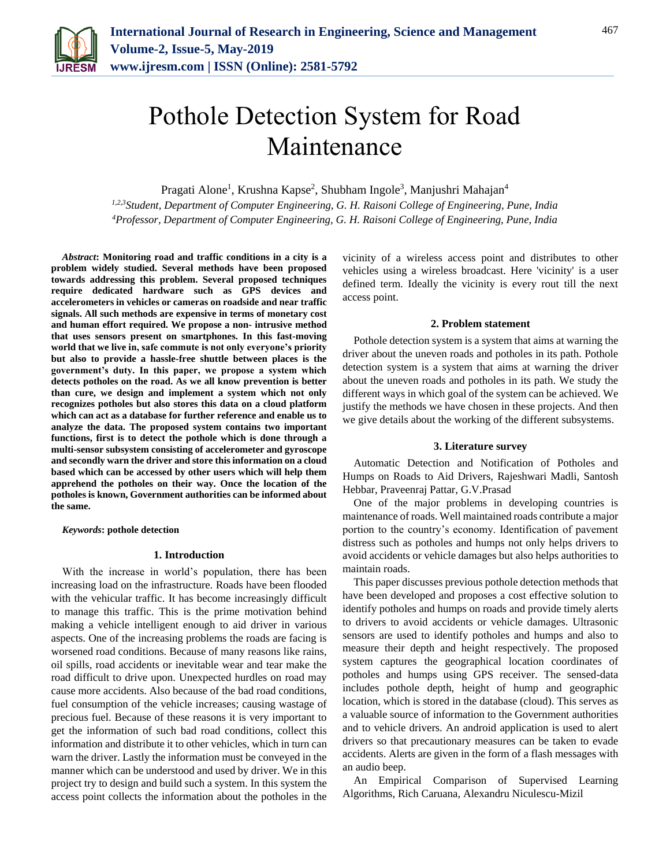

# Pothole Detection System for Road Maintenance

Pragati Alone<sup>1</sup>, Krushna Kapse<sup>2</sup>, Shubham Ingole<sup>3</sup>, Manjushri Mahajan<sup>4</sup>

*1,2,3Student, Department of Computer Engineering, G. H. Raisoni College of Engineering, Pune, India 4Professor, Department of Computer Engineering, G. H. Raisoni College of Engineering, Pune, India*

*Abstract***: Monitoring road and traffic conditions in a city is a problem widely studied. Several methods have been proposed towards addressing this problem. Several proposed techniques require dedicated hardware such as GPS devices and accelerometers in vehicles or cameras on roadside and near traffic signals. All such methods are expensive in terms of monetary cost and human effort required. We propose a non- intrusive method that uses sensors present on smartphones. In this fast-moving world that we live in, safe commute is not only everyone's priority but also to provide a hassle-free shuttle between places is the government's duty. In this paper, we propose a system which detects potholes on the road. As we all know prevention is better than cure, we design and implement a system which not only recognizes potholes but also stores this data on a cloud platform which can act as a database for further reference and enable us to analyze the data. The proposed system contains two important functions, first is to detect the pothole which is done through a multi-sensor subsystem consisting of accelerometer and gyroscope and secondly warn the driver and store this information on a cloud based which can be accessed by other users which will help them apprehend the potholes on their way. Once the location of the potholes is known, Government authorities can be informed about the same.**

*Keywords***: pothole detection**

#### **1. Introduction**

With the increase in world's population, there has been increasing load on the infrastructure. Roads have been flooded with the vehicular traffic. It has become increasingly difficult to manage this traffic. This is the prime motivation behind making a vehicle intelligent enough to aid driver in various aspects. One of the increasing problems the roads are facing is worsened road conditions. Because of many reasons like rains, oil spills, road accidents or inevitable wear and tear make the road difficult to drive upon. Unexpected hurdles on road may cause more accidents. Also because of the bad road conditions, fuel consumption of the vehicle increases; causing wastage of precious fuel. Because of these reasons it is very important to get the information of such bad road conditions, collect this information and distribute it to other vehicles, which in turn can warn the driver. Lastly the information must be conveyed in the manner which can be understood and used by driver. We in this project try to design and build such a system. In this system the access point collects the information about the potholes in the vicinity of a wireless access point and distributes to other vehicles using a wireless broadcast. Here 'vicinity' is a user defined term. Ideally the vicinity is every rout till the next access point.

## **2. Problem statement**

Pothole detection system is a system that aims at warning the driver about the uneven roads and potholes in its path. Pothole detection system is a system that aims at warning the driver about the uneven roads and potholes in its path. We study the different ways in which goal of the system can be achieved. We justify the methods we have chosen in these projects. And then we give details about the working of the different subsystems.

#### **3. Literature survey**

Automatic Detection and Notification of Potholes and Humps on Roads to Aid Drivers, Rajeshwari Madli, Santosh Hebbar, Praveenraj Pattar, G.V.Prasad

One of the major problems in developing countries is maintenance of roads. Well maintained roads contribute a major portion to the country's economy. Identification of pavement distress such as potholes and humps not only helps drivers to avoid accidents or vehicle damages but also helps authorities to maintain roads.

This paper discusses previous pothole detection methods that have been developed and proposes a cost effective solution to identify potholes and humps on roads and provide timely alerts to drivers to avoid accidents or vehicle damages. Ultrasonic sensors are used to identify potholes and humps and also to measure their depth and height respectively. The proposed system captures the geographical location coordinates of potholes and humps using GPS receiver. The sensed-data includes pothole depth, height of hump and geographic location, which is stored in the database (cloud). This serves as a valuable source of information to the Government authorities and to vehicle drivers. An android application is used to alert drivers so that precautionary measures can be taken to evade accidents. Alerts are given in the form of a flash messages with an audio beep.

An Empirical Comparison of Supervised Learning Algorithms, Rich Caruana, Alexandru Niculescu-Mizil